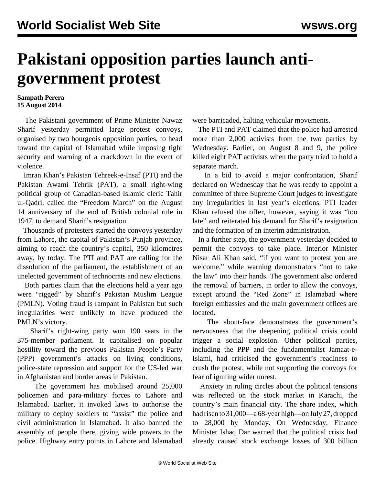## **Pakistani opposition parties launch antigovernment protest**

## **Sampath Perera 15 August 2014**

 The Pakistani government of Prime Minister Nawaz Sharif yesterday permitted large protest convoys, organised by two bourgeois opposition parties, to head toward the capital of Islamabad while imposing tight security and warning of a crackdown in the event of violence.

 Imran Khan's Pakistan Tehreek-e-Insaf (PTI) and the Pakistan Awami Tehrik (PAT), a small right-wing political group of Canadian-based Islamic cleric Tahir ul-Qadri, called the "Freedom March" on the August 14 anniversary of the end of British colonial rule in 1947, to demand Sharif's resignation.

 Thousands of protesters started the convoys yesterday from Lahore, the capital of Pakistan's Punjab province, aiming to reach the country's capital, 350 kilometres away, by today. The PTI and PAT are calling for the dissolution of the parliament, the establishment of an unelected government of technocrats and new elections.

 Both parties claim that the elections held a year ago were "rigged" by Sharif's Pakistan Muslim League (PMLN). Voting fraud is rampant in Pakistan but such irregularities were unlikely to have produced the PMLN's victory.

 Sharif's right-wing party won 190 seats in the 375-member parliament. It capitalised on popular hostility toward the previous Pakistan People's Party (PPP) government's attacks on living conditions, police-state repression and support for the US-led war in Afghanistan and border areas in Pakistan.

 The government has mobilised around 25,000 policemen and para-military forces to Lahore and Islamabad. Earlier, it invoked [laws](/en/articles/2014/07/29/paki-j29.html) to authorise the military to deploy soldiers to "assist" the police and civil administration in Islamabad. It also banned the assembly of people there, giving wide powers to the police. Highway entry points in Lahore and Islamabad

were barricaded, halting vehicular movements.

 The PTI and PAT claimed that the police had arrested more than 2,000 activists from the two parties by Wednesday. Earlier, on August 8 and 9, the police killed eight PAT activists when the party tried to hold a separate march.

 In a bid to avoid a major confrontation, Sharif declared on Wednesday that he was ready to appoint a committee of three Supreme Court judges to investigate any irregularities in last year's elections. PTI leader Khan refused the offer, however, saying it was "too late" and reiterated his demand for Sharif's resignation and the formation of an interim administration.

 In a further step, the government yesterday decided to permit the convoys to take place. Interior Minister Nisar Ali Khan said, "if you want to protest you are welcome," while warning demonstrators "not to take the law" into their hands. The government also ordered the removal of barriers, in order to allow the convoys, except around the "Red Zone" in Islamabad where foreign embassies and the main government offices are located.

 The about-face demonstrates the government's nervousness that the deepening political crisis could trigger a social explosion. Other political parties, including the PPP and the fundamentalist Jamaat-e-Islami, had criticised the government's readiness to crush the protest, while not supporting the convoys for fear of igniting wider unrest.

 Anxiety in ruling circles about the political tensions was reflected on the stock market in Karachi, the country's main financial city. The share index, which had risen to 31,000—a 68-year high—on July 27, dropped to 28,000 by Monday. On Wednesday, Finance Minister Ishaq Dar warned that the political crisis had already caused stock exchange losses of 300 billion